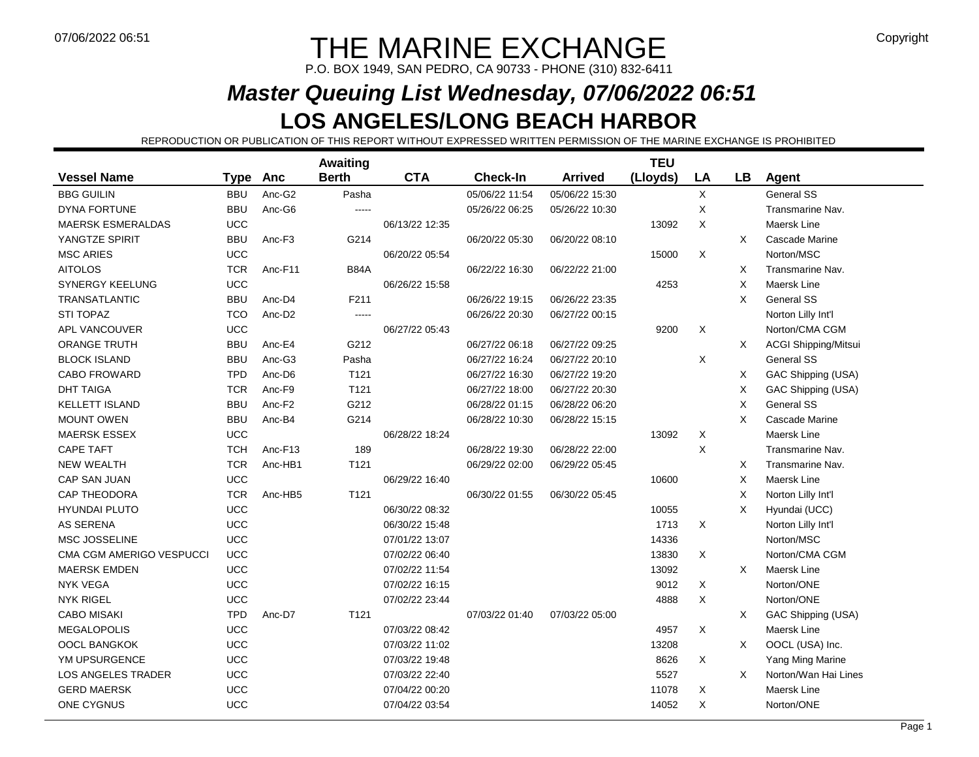# $\blacksquare$  THE MARINE EXCHANGE  $\blacksquare$

P.O. BOX 1949, SAN PEDRO, CA 90733 - PHONE (310) 832-6411

### **Master Queuing List Wednesday, 07/06/2022 06:51LOS ANGELES/LONG BEACH HARBOR**

REPRODUCTION OR PUBLICATION OF THIS REPORT WITHOUT EXPRESSED WRITTEN PERMISSION OF THE MARINE EXCHANGE IS PROHIBITED

|                           |             |                    | <b>Awaiting</b> |                |                 |                | <b>TEU</b> |             |           |                             |
|---------------------------|-------------|--------------------|-----------------|----------------|-----------------|----------------|------------|-------------|-----------|-----------------------------|
| <b>Vessel Name</b>        | <b>Type</b> | <b>Anc</b>         | <b>Berth</b>    | <b>CTA</b>     | <b>Check-In</b> | <b>Arrived</b> | (Lloyds)   | LA          | <b>LB</b> | Agent                       |
| <b>BBG GUILIN</b>         | <b>BBU</b>  | Anc-G2             | Pasha           |                | 05/06/22 11:54  | 05/06/22 15:30 |            | $\mathsf X$ |           | <b>General SS</b>           |
| DYNA FORTUNE              | <b>BBU</b>  | Anc-G6             | $-----$         |                | 05/26/22 06:25  | 05/26/22 10:30 |            | X           |           | Transmarine Nav.            |
| <b>MAERSK ESMERALDAS</b>  | <b>UCC</b>  |                    |                 | 06/13/22 12:35 |                 |                | 13092      | $\times$    |           | Maersk Line                 |
| YANGTZE SPIRIT            | <b>BBU</b>  | Anc-F3             | G214            |                | 06/20/22 05:30  | 06/20/22 08:10 |            |             | X         | Cascade Marine              |
| <b>MSC ARIES</b>          | <b>UCC</b>  |                    |                 | 06/20/22 05:54 |                 |                | 15000      | X           |           | Norton/MSC                  |
| <b>AITOLOS</b>            | <b>TCR</b>  | Anc-F11            | <b>B84A</b>     |                | 06/22/22 16:30  | 06/22/22 21:00 |            |             | X         | Transmarine Nav.            |
| <b>SYNERGY KEELUNG</b>    | <b>UCC</b>  |                    |                 | 06/26/22 15:58 |                 |                | 4253       |             | X         | Maersk Line                 |
| <b>TRANSATLANTIC</b>      | <b>BBU</b>  | Anc-D4             | F211            |                | 06/26/22 19:15  | 06/26/22 23:35 |            |             | X         | <b>General SS</b>           |
| <b>STI TOPAZ</b>          | <b>TCO</b>  | Anc-D <sub>2</sub> | $---$           |                | 06/26/22 20:30  | 06/27/22 00:15 |            |             |           | Norton Lilly Int'l          |
| <b>APL VANCOUVER</b>      | UCC         |                    |                 | 06/27/22 05:43 |                 |                | 9200       | X           |           | Norton/CMA CGM              |
| <b>ORANGE TRUTH</b>       | <b>BBU</b>  | Anc-E4             | G212            |                | 06/27/22 06:18  | 06/27/22 09:25 |            |             | $\times$  | <b>ACGI Shipping/Mitsui</b> |
| <b>BLOCK ISLAND</b>       | <b>BBU</b>  | Anc-G3             | Pasha           |                | 06/27/22 16:24  | 06/27/22 20:10 |            | X           |           | General SS                  |
| <b>CABO FROWARD</b>       | <b>TPD</b>  | Anc-D6             | T121            |                | 06/27/22 16:30  | 06/27/22 19:20 |            |             | X         | GAC Shipping (USA)          |
| <b>DHT TAIGA</b>          | <b>TCR</b>  | Anc-F9             | T121            |                | 06/27/22 18:00  | 06/27/22 20:30 |            |             | X         | GAC Shipping (USA)          |
| <b>KELLETT ISLAND</b>     | <b>BBU</b>  | Anc-F <sub>2</sub> | G212            |                | 06/28/22 01:15  | 06/28/22 06:20 |            |             | X         | <b>General SS</b>           |
| <b>MOUNT OWEN</b>         | <b>BBU</b>  | Anc-B4             | G214            |                | 06/28/22 10:30  | 06/28/22 15:15 |            |             | X         | Cascade Marine              |
| <b>MAERSK ESSEX</b>       | UCC         |                    |                 | 06/28/22 18:24 |                 |                | 13092      | X           |           | Maersk Line                 |
| <b>CAPE TAFT</b>          | <b>TCH</b>  | Anc-F13            | 189             |                | 06/28/22 19:30  | 06/28/22 22:00 |            | X           |           | Transmarine Nav.            |
| <b>NEW WEALTH</b>         | <b>TCR</b>  | Anc-HB1            | T121            |                | 06/29/22 02:00  | 06/29/22 05:45 |            |             | X         | Transmarine Nav.            |
| CAP SAN JUAN              | UCC         |                    |                 | 06/29/22 16:40 |                 |                | 10600      |             | X         | Maersk Line                 |
| <b>CAP THEODORA</b>       | <b>TCR</b>  | Anc-HB5            | T121            |                | 06/30/22 01:55  | 06/30/22 05:45 |            |             | X         | Norton Lilly Int'l          |
| <b>HYUNDAI PLUTO</b>      | UCC         |                    |                 | 06/30/22 08:32 |                 |                | 10055      |             | X         | Hyundai (UCC)               |
| <b>AS SERENA</b>          | UCC         |                    |                 | 06/30/22 15:48 |                 |                | 1713       | X           |           | Norton Lilly Int'l          |
| <b>MSC JOSSELINE</b>      | <b>UCC</b>  |                    |                 | 07/01/22 13:07 |                 |                | 14336      |             |           | Norton/MSC                  |
| CMA CGM AMERIGO VESPUCCI  | UCC         |                    |                 | 07/02/22 06:40 |                 |                | 13830      | X           |           | Norton/CMA CGM              |
| <b>MAERSK EMDEN</b>       | <b>UCC</b>  |                    |                 | 07/02/22 11:54 |                 |                | 13092      |             | $\times$  | Maersk Line                 |
| <b>NYK VEGA</b>           | UCC         |                    |                 | 07/02/22 16:15 |                 |                | 9012       | X           |           | Norton/ONE                  |
| <b>NYK RIGEL</b>          | <b>UCC</b>  |                    |                 | 07/02/22 23:44 |                 |                | 4888       | X           |           | Norton/ONE                  |
| <b>CABO MISAKI</b>        | <b>TPD</b>  | Anc-D7             | T121            |                | 07/03/22 01:40  | 07/03/22 05:00 |            |             | X         | GAC Shipping (USA)          |
| <b>MEGALOPOLIS</b>        | <b>UCC</b>  |                    |                 | 07/03/22 08:42 |                 |                | 4957       | X           |           | Maersk Line                 |
| OOCL BANGKOK              | <b>UCC</b>  |                    |                 | 07/03/22 11:02 |                 |                | 13208      |             | X         | OOCL (USA) Inc.             |
| YM UPSURGENCE             | UCC         |                    |                 | 07/03/22 19:48 |                 |                | 8626       | X           |           | Yang Ming Marine            |
| <b>LOS ANGELES TRADER</b> | <b>UCC</b>  |                    |                 | 07/03/22 22:40 |                 |                | 5527       |             | X         | Norton/Wan Hai Lines        |
| <b>GERD MAERSK</b>        | UCC         |                    |                 | 07/04/22 00:20 |                 |                | 11078      | X           |           | Maersk Line                 |
| ONE CYGNUS                | UCC         |                    |                 | 07/04/22 03:54 |                 |                | 14052      | X           |           | Norton/ONE                  |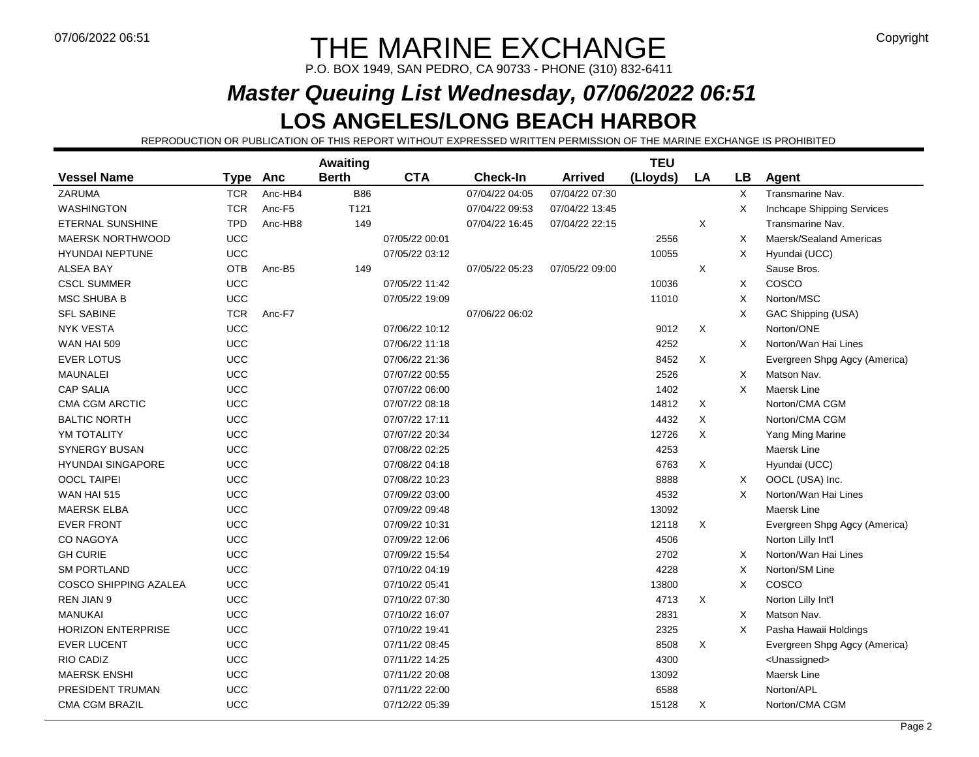# $\blacksquare$  THE MARINE EXCHANGE  $\blacksquare$

P.O. BOX 1949, SAN PEDRO, CA 90733 - PHONE (310) 832-6411

# **Master Queuing List Wednesday, 07/06/2022 06:51**

#### **LOS ANGELES/LONG BEACH HARBOR**

REPRODUCTION OR PUBLICATION OF THIS REPORT WITHOUT EXPRESSED WRITTEN PERMISSION OF THE MARINE EXCHANGE IS PROHIBITED

|                              |            |         | Awaiting         |                |                 |                | <b>TEU</b> |    |          |                               |
|------------------------------|------------|---------|------------------|----------------|-----------------|----------------|------------|----|----------|-------------------------------|
| <b>Vessel Name</b>           | Type       | Anc     | <b>Berth</b>     | <b>CTA</b>     | <b>Check-In</b> | <b>Arrived</b> | (Lloyds)   | LA | LB       | Agent                         |
| ZARUMA                       | <b>TCR</b> | Anc-HB4 | <b>B86</b>       |                | 07/04/22 04:05  | 07/04/22 07:30 |            |    | X        | Transmarine Nav.              |
| <b>WASHINGTON</b>            | <b>TCR</b> | Anc-F5  | T <sub>121</sub> |                | 07/04/22 09:53  | 07/04/22 13:45 |            |    | X        | Inchcape Shipping Services    |
| <b>ETERNAL SUNSHINE</b>      | <b>TPD</b> | Anc-HB8 | 149              |                | 07/04/22 16:45  | 07/04/22 22:15 |            | X  |          | Transmarine Nav.              |
| <b>MAERSK NORTHWOOD</b>      | <b>UCC</b> |         |                  | 07/05/22 00:01 |                 |                | 2556       |    | X        | Maersk/Sealand Americas       |
| <b>HYUNDAI NEPTUNE</b>       | UCC        |         |                  | 07/05/22 03:12 |                 |                | 10055      |    | X        | Hyundai (UCC)                 |
| <b>ALSEA BAY</b>             | OTB        | Anc-B5  | 149              |                | 07/05/22 05:23  | 07/05/22 09:00 |            | Χ  |          | Sause Bros.                   |
| <b>CSCL SUMMER</b>           | <b>UCC</b> |         |                  | 07/05/22 11:42 |                 |                | 10036      |    | X        | COSCO                         |
| <b>MSC SHUBA B</b>           | UCC        |         |                  | 07/05/22 19:09 |                 |                | 11010      |    | Χ        | Norton/MSC                    |
| <b>SFL SABINE</b>            | <b>TCR</b> | Anc-F7  |                  |                | 07/06/22 06:02  |                |            |    | X        | GAC Shipping (USA)            |
| <b>NYK VESTA</b>             | UCC        |         |                  | 07/06/22 10:12 |                 |                | 9012       | X  |          | Norton/ONE                    |
| <b>WAN HAI 509</b>           | <b>UCC</b> |         |                  | 07/06/22 11:18 |                 |                | 4252       |    | $\times$ | Norton/Wan Hai Lines          |
| <b>EVER LOTUS</b>            | UCC        |         |                  | 07/06/22 21:36 |                 |                | 8452       | X  |          | Evergreen Shpg Agcy (America) |
| <b>MAUNALEI</b>              | UCC        |         |                  | 07/07/22 00:55 |                 |                | 2526       |    | X        | Matson Nav.                   |
| <b>CAP SALIA</b>             | <b>UCC</b> |         |                  | 07/07/22 06:00 |                 |                | 1402       |    | X        | Maersk Line                   |
| <b>CMA CGM ARCTIC</b>        | UCC        |         |                  | 07/07/22 08:18 |                 |                | 14812      | X  |          | Norton/CMA CGM                |
| <b>BALTIC NORTH</b>          | <b>UCC</b> |         |                  | 07/07/22 17:11 |                 |                | 4432       | Χ  |          | Norton/CMA CGM                |
| YM TOTALITY                  | UCC        |         |                  | 07/07/22 20:34 |                 |                | 12726      | X  |          | Yang Ming Marine              |
| <b>SYNERGY BUSAN</b>         | UCC        |         |                  | 07/08/22 02:25 |                 |                | 4253       |    |          | Maersk Line                   |
| <b>HYUNDAI SINGAPORE</b>     | <b>UCC</b> |         |                  | 07/08/22 04:18 |                 |                | 6763       | X  |          | Hyundai (UCC)                 |
| <b>OOCL TAIPEI</b>           | UCC        |         |                  | 07/08/22 10:23 |                 |                | 8888       |    | X        | OOCL (USA) Inc.               |
| <b>WAN HAI 515</b>           | <b>UCC</b> |         |                  | 07/09/22 03:00 |                 |                | 4532       |    | $\times$ | Norton/Wan Hai Lines          |
| <b>MAERSK ELBA</b>           | UCC        |         |                  | 07/09/22 09:48 |                 |                | 13092      |    |          | Maersk Line                   |
| <b>EVER FRONT</b>            | <b>UCC</b> |         |                  | 07/09/22 10:31 |                 |                | 12118      | X  |          | Evergreen Shpg Agcy (America) |
| CO NAGOYA                    | UCC        |         |                  | 07/09/22 12:06 |                 |                | 4506       |    |          | Norton Lilly Int'l            |
| <b>GH CURIE</b>              | UCC        |         |                  | 07/09/22 15:54 |                 |                | 2702       |    | X        | Norton/Wan Hai Lines          |
| <b>SM PORTLAND</b>           | <b>UCC</b> |         |                  | 07/10/22 04:19 |                 |                | 4228       |    | X        | Norton/SM Line                |
| <b>COSCO SHIPPING AZALEA</b> | UCC        |         |                  | 07/10/22 05:41 |                 |                | 13800      |    | X        | COSCO                         |
| <b>REN JIAN 9</b>            | UCC        |         |                  | 07/10/22 07:30 |                 |                | 4713       | X  |          | Norton Lilly Int'l            |
| <b>MANUKAI</b>               | UCC        |         |                  | 07/10/22 16:07 |                 |                | 2831       |    | X        | Matson Nav.                   |
| <b>HORIZON ENTERPRISE</b>    | UCC        |         |                  | 07/10/22 19:41 |                 |                | 2325       |    | X        | Pasha Hawaii Holdings         |
| <b>EVER LUCENT</b>           | UCC        |         |                  | 07/11/22 08:45 |                 |                | 8508       | X  |          | Evergreen Shpg Agcy (America) |
| <b>RIO CADIZ</b>             | UCC        |         |                  | 07/11/22 14:25 |                 |                | 4300       |    |          | <unassigned></unassigned>     |
| <b>MAERSK ENSHI</b>          | <b>UCC</b> |         |                  | 07/11/22 20:08 |                 |                | 13092      |    |          | Maersk Line                   |
| PRESIDENT TRUMAN             | <b>UCC</b> |         |                  | 07/11/22 22:00 |                 |                | 6588       |    |          | Norton/APL                    |
| <b>CMA CGM BRAZIL</b>        | UCC        |         |                  | 07/12/22 05:39 |                 |                | 15128      | X  |          | Norton/CMA CGM                |